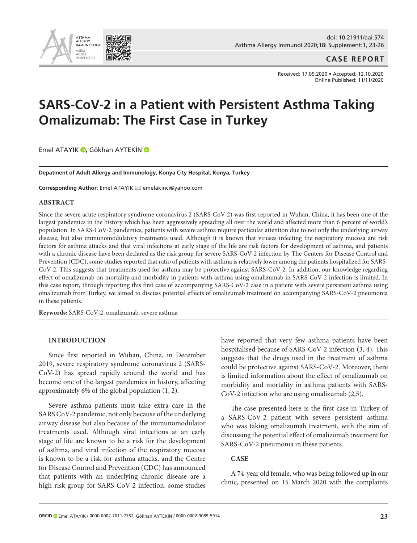

## **CASE REPORT**

Received: 17.09.2020 • Accepted: 12.10.2020 Online Published: 11/11/2020

# **SARS-CoV-2 in a Patient with Persistent Asthma Taking Omalizumab: The First Case in Turkey**

EmelATAYIK <sup>(D</sup>, Gökhan AYTEKİN <sup>(D</sup>

**Depatment of Adult Allergy and Immunology, Konya City Hospital, Konya, Turkey**

**Corresponding Author:** Emel ATAYIK ⊠ emelakinci@yahoo.com

#### **ABSTRACT**

Since the severe acute respiratory syndrome coronavirus 2 (SARS-CoV-2) was first reported in Wuhan, China, it has been one of the largest pandemics in the history which has been aggressively spreading all over the world and affected more than 6 percent of world's population. In SARS-CoV-2 pandemics, patients with severe asthma require particular attention due to not only the underlying airway disease, but also immunomodulatory treatments used. Although it is known that viruses infecting the respiratory mucosa are risk factors for asthma attacks and that viral infections at early stage of the life are risk factors for development of asthma, and patients with a chronic disease have been declared as the risk group for severe SARS-CoV-2 infection by The Centers for Disease Control and Prevention (CDC), some studies reported that ratio of patients with asthma is relatively lower among the patients hospitalized for SARS-CoV-2. This suggests that treatments used for asthma may be protective against SARS-CoV-2. In addition, our knowledge regarding effect of omalizumab on mortality and morbidity in patients with asthma using omalizumab in SARS-CoV-2 infection is limited. In this case report, through reporting this first case of accompanying SARS-CoV-2 case in a patient with severe persistent asthma using omalizumab from Turkey, we aimed to discuss potential effects of omalizumab treatment on accompanying SARS-CoV-2 pneumonia in these patients.

**Keywords:** SARS-CoV-2, omalizumab, severe asthma

#### **INTRODUCTION**

Since first reported in Wuhan, China, in December 2019, severe respiratory syndrome coronavirus 2 (SARS-CoV-2) has spread rapidly around the world and has become one of the largest pandemics in history, affecting approximately 6% of the global population (1, 2).

Severe asthma patients must take extra care in the SARS CoV-2 pandemic, not only because of the underlying airway disease but also because of the immunomodulator treatments used. Although viral infections at an early stage of life are known to be a risk for the development of asthma, and viral infection of the respiratory mucosa is known to be a risk for asthma attacks, and the Centre for Disease Control and Prevention (CDC) has announced that patients with an underlying chronic disease are a high-risk group for SARS-CoV-2 infection, some studies have reported that very few asthma patients have been hospitalised because of SARS-CoV-2 infection (3, 4). This suggests that the drugs used in the treatment of asthma could be protective against SARS-CoV-2. Moreover, there is limited information about the effect of omalizumab on morbidity and mortality in asthma patients with SARS-CoV-2 infection who are using omalizumab (2,5).

The case presented here is the first case in Turkey of a SARS-CoV-2 patient with severe persistent asthma who was taking omalizumab treatment, with the aim of discussing the potential effect of omalizumab treatment for SARS-CoV-2 pneumonia in these patients.

#### **CASE**

A 74-year old female, who was being followed up in our clinic, presented on 15 March 2020 with the complaints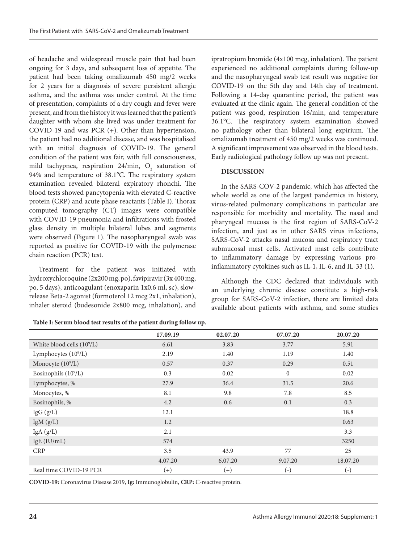of headache and widespread muscle pain that had been ongoing for 3 days, and subsequent loss of appetite. The patient had been taking omalizumab 450 mg/2 weeks for 2 years for a diagnosis of severe persistent allergic asthma, and the asthma was under control. At the time of presentation, complaints of a dry cough and fever were present, and from the history it was learned that the patient's daughter with whom she lived was under treatment for COVID-19 and was PCR (+). Other than hypertension, the patient had no additional disease, and was hospitalised with an initial diagnosis of COVID-19. The general condition of the patient was fair, with full consciousness, mild tachypnea, respiration  $24/\text{min}$ ,  $O_2$  saturation of 94% and temperature of 38.1°C. The respiratory system examination revealed bilateral expiratory rhonchi. The blood tests showed pancytopenia with elevated C-reactive protein (CRP) and acute phase reactants (Table I). Thorax computed tomography (CT) images were compatible with COVID-19 pneumonia and infiltrations with frosted glass density in multiple bilateral lobes and segments were observed (Figure 1). The nasopharyngeal swab was reported as positive for COVID-19 with the polymerase chain reaction (PCR) test.

Treatment for the patient was initiated with hydroxychloroquine (2x200 mg, po), favipiravir (3x 400 mg, po, 5 days), anticoagulant (enoxaparin 1x0.6 ml, sc), slowrelease Beta-2 agonist (formoterol 12 mcg 2x1, inhalation), inhaler steroid (budesonide 2x800 mcg, inhalation), and

| Table I: Serum blood test results of the patient during follow up. |  |  |  |
|--------------------------------------------------------------------|--|--|--|
|--------------------------------------------------------------------|--|--|--|

ipratropium bromide (4x100 mcg, inhalation). The patient experienced no additional complaints during follow-up and the nasopharyngeal swab test result was negative for COVID-19 on the 5th day and 14th day of treatment. Following a 14-day quarantine period, the patient was evaluated at the clinic again. The general condition of the patient was good, respiration 16/min, and temperature 36.1°C. The respiratory system examination showed no pathology other than bilateral long expirium. The omalizumab treatment of 450 mg/2 weeks was continued. A significant improvement was observed in the blood tests. Early radiological pathology follow up was not present.

## **DISCUSSION**

In the SARS-COV-2 pandemic, which has affected the whole world as one of the largest pandemics in history, virus-related pulmonary complications in particular are responsible for morbidity and mortality. The nasal and pharyngeal mucosa is the first region of SARS-CoV-2 infection, and just as in other SARS virus infections, SARS-CoV-2 attacks nasal mucosa and respiratory tract submucosal mast cells. Activated mast cells contribute to inflammatory damage by expressing various proinflammatory cytokines such as IL-1, IL-6, and IL-33 (1).

Although the CDC declared that individuals with an underlying chronic disease constitute a high-risk group for SARS-CoV-2 infection, there are limited data available about patients with asthma, and some studies

|                                        | 17.09.19 | 02.07.20 | 07.07.20     | 20.07.20     |
|----------------------------------------|----------|----------|--------------|--------------|
| White blood cells (10 <sup>9</sup> /L) | 6.61     | 3.83     | 3.77         | 5.91         |
| Lymphocytes $(10^9/L)$                 | 2.19     | 1.40     | 1.19         | 1.40         |
| Monocyte (10 <sup>9</sup> /L)          | 0.57     | 0.37     | 0.29         | 0.51         |
| Eosinophils $(109/L)$                  | 0.3      | 0.02     | $\mathbf{0}$ | 0.02         |
| Lymphocytes, %                         | 27.9     | 36.4     | 31.5         | 20.6         |
| Monocytes, %                           | 8.1      | 9.8      | 7.8          | 8.5          |
| Eosinophils, %                         | 4.2      | 0.6      | 0.1          | 0.3          |
| IgG (g/L)                              | 12.1     |          |              | 18.8         |
| IgM $(g/L)$                            | 1.2      |          |              | 0.63         |
| IgA(g/L)                               | 2.1      |          |              | 3.3          |
| $IgE$ (IU/mL)                          | 574      |          |              | 3250         |
| <b>CRP</b>                             | 3.5      | 43.9     | 77           | 25           |
|                                        | 4.07.20  | 6.07.20  | 9.07.20      | 18.07.20     |
| Real time COVID-19 PCR                 | $(+)$    | $^{(+)}$ | $(-)$        | $(\text{-})$ |

**COVID-19:** Coronavirus Disease 2019, **Ig:** Immunoglobulin, **CRP:** C-reactive protein.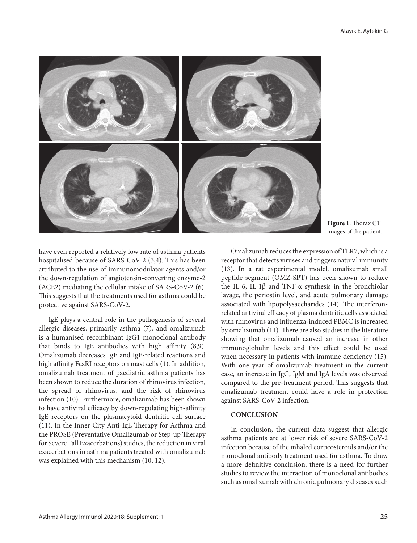

**Figure 1**: Thorax CT images of the patient.

have even reported a relatively low rate of asthma patients hospitalised because of SARS-CoV-2 (3,4). This has been attributed to the use of immunomodulator agents and/or the down-regulation of angiotensin-converting enzyme-2 (ACE2) mediating the cellular intake of SARS-CoV-2 (6). This suggests that the treatments used for asthma could be protective against SARS-CoV-2.

IgE plays a central role in the pathogenesis of several allergic diseases, primarily asthma (7), and omalizumab is a humanised recombinant IgG1 monoclonal antibody that binds to IgE antibodies with high affinity (8,9). Omalizumab decreases IgE and IgE-related reactions and high affinity FcεRI receptors on mast cells (1). In addition, omalizumab treatment of paediatric asthma patients has been shown to reduce the duration of rhinovirus infection, the spread of rhinovirus, and the risk of rhinovirus infection (10). Furthermore, omalizumab has been shown to have antiviral efficacy by down-regulating high-affinity IgE receptors on the plasmacytoid dentritic cell surface (11). In the Inner-City Anti-IgE Therapy for Asthma and the PROSE (Preventative Omalizumab or Step-up Therapy for Severe Fall Exacerbations) studies, the reduction in viral exacerbations in asthma patients treated with omalizumab was explained with this mechanism (10, 12).

Omalizumab reduces the expression of TLR7, which is a receptor that detects viruses and triggers natural immunity (13). In a rat experimental model, omalizumab small peptide segment (OMZ-SPT) has been shown to reduce the IL-6, IL-1β and TNF-α synthesis in the bronchiolar lavage, the periostin level, and acute pulmonary damage associated with lipopolysaccharides (14). The interferonrelated antiviral efficacy of plasma dentritic cells associated with rhinovirus and influenza-induced PBMC is increased by omalizumab (11). There are also studies in the literature showing that omalizumab caused an increase in other immunoglobulin levels and this effect could be used when necessary in patients with immune deficiency (15). With one year of omalizumab treatment in the current case, an increase in IgG, IgM and IgA levels was observed compared to the pre-treatment period. This suggests that omalizumab treatment could have a role in protection against SARS-CoV-2 infection.

### **CONCLUSION**

In conclusion, the current data suggest that allergic asthma patients are at lower risk of severe SARS-CoV-2 infection because of the inhaled corticosteroids and/or the monoclonal antibody treatment used for asthma. To draw a more definitive conclusion, there is a need for further studies to review the interaction of monoclonal antibodies such as omalizumab with chronic pulmonary diseases such